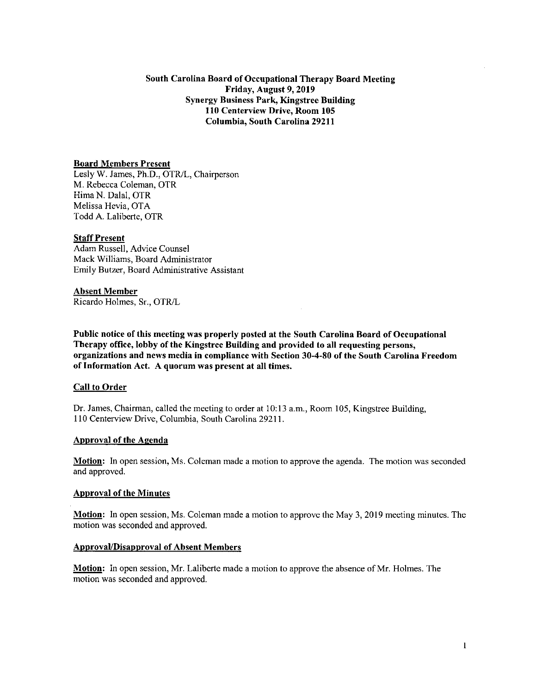# South Carolina Board of Occupational Therapy Board Meeting Friday, August 9, 2019 Synergy Business Park, Kingstree Building 110 Centerview Drive, Room 105 Columbia, South Carolina 29211

# Board Members Present

Lesly W. James, Ph.D., OTR/L, Chairperson M. Rebecca Coleman, OTR Hima N. Dalal, OTR Melissa Hevia, OTA Todd A. Laliberte, OTR

# Staff Present

Adam Russell, Advice Counsel Mack Williams, Board Administrator Emily Butzer, Board Administrative Assistant

# Absent Member

Ricardo Holmes, Sr., OTR/L

Public notice of this meeting was properly posted at the South Carolina Board of Occupational Therapy office, lobby of the Kingstree Building and provided to all requesting persons, organizations and news media in compliance with Section 30-4-80 of the South Carolina Freedom of Information Act. A quorum was present at all times.

# Call to Order

Dr. James, Chairman, called the meeting to order at 10:13 a.m., Room 105, Kingstree Building, 110 Centerview Drive, Columbia, South Carolina 29211.

#### Approval of the Agenda

**Motion:** In open session, Ms. Coleman made a motion to approve the agenda. The motion was seconded and approved.

### Approval of the Minutes

Motion: In open session, Ms. Coleman made a motion to approve the May 3, 2019 meeting minutes. The motion was seconded and approved.

#### Approval/Disapproval of Absent Members

Motion: In open session, Mr. Laliberte made a motion to approve the absence of Mr. Holmes. The motion was seconded and approved.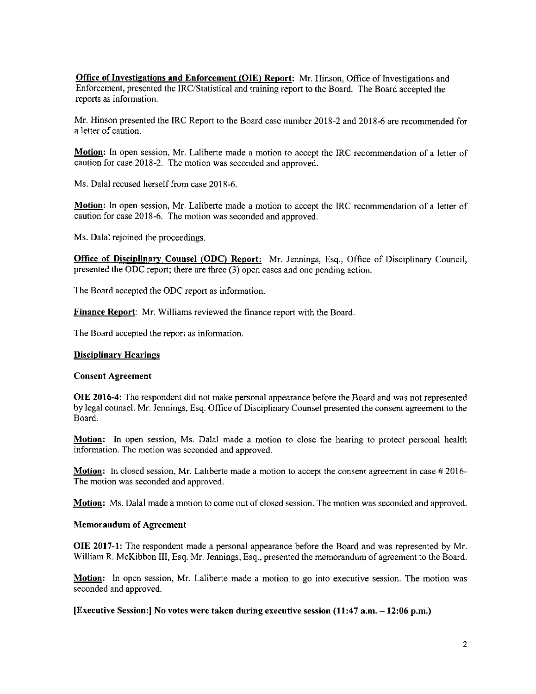**Office of Investigations and Enforcement (OIE) Report:** Mr. Hinson, Office of Investigations and Enforcement, presented the IRC/Statistical and training report to the Board. The Board accepted the reports as information.

Mr. Hinson presented the IRC Report to the Board case number 2018-2 and 2018-6 are recommended for a letter of caution.

**Motion:** In open session, Mr. Laliberte made a motion to accept the IRC recommendation of a letter of caution for case 2018-2. The motion was seconded and approved.

Ms. Dalai recused herself from case 2018-6.

**Motion:** In open session, Mr. Laliberte made a motion to accept the IRC recommendation of a letter of caution for case 2018-6. The motion was seconded and approved.

Ms. Dalai rejoined the proceedings.

**Office of Disciplinary Counsel (ODC) Report:** Mr. Jennings, Esq., Office of Disciplinary Council, presented the ODC report; there are three (3) open cases and one pending action.

The Board accepted the ODC report as information.

**Finance Report:** Mr. Williams reviewed the finance report with the Board.

The Board accepted the report as information.

### **Disciplinary Hearings**

# **Consent Agreement**

**OIE 2016-4:** The respondent did not make personal appearance before the Board and was not represented by legal counsel. Mr. Jennings, Esq. Office of Disciplinary Counsel presented the consent agreement to the Board.

**Motion:** In open session, Ms. Dalal made a motion to close the hearing to protect personal health information. The motion was seconded and approved.

**Motion:** In closed session, Mr. Laliberte made a motion to accept the consent agreement in case # 2016- The motion was seconded and approved.

**Motion:** Ms. Dalal made a motion to come out of closed session. The motion was seconded and approved.

#### **Memorandum of Agreement**

**OIE 2017-1:** The respondent made a personal appearance before the Board and was represented by Mr. William R. McKibbon III, Esq. Mr. Jennings, Esq., presented the memorandum of agreement to the Board.

**Motion:** In open session, Mr. Laliberte made a motion to go into executive session. The motion was seconded and approved.

**[Executive Session:I No votes were taken during executive session (11:47 a.m. — 12:06 p.m.)**